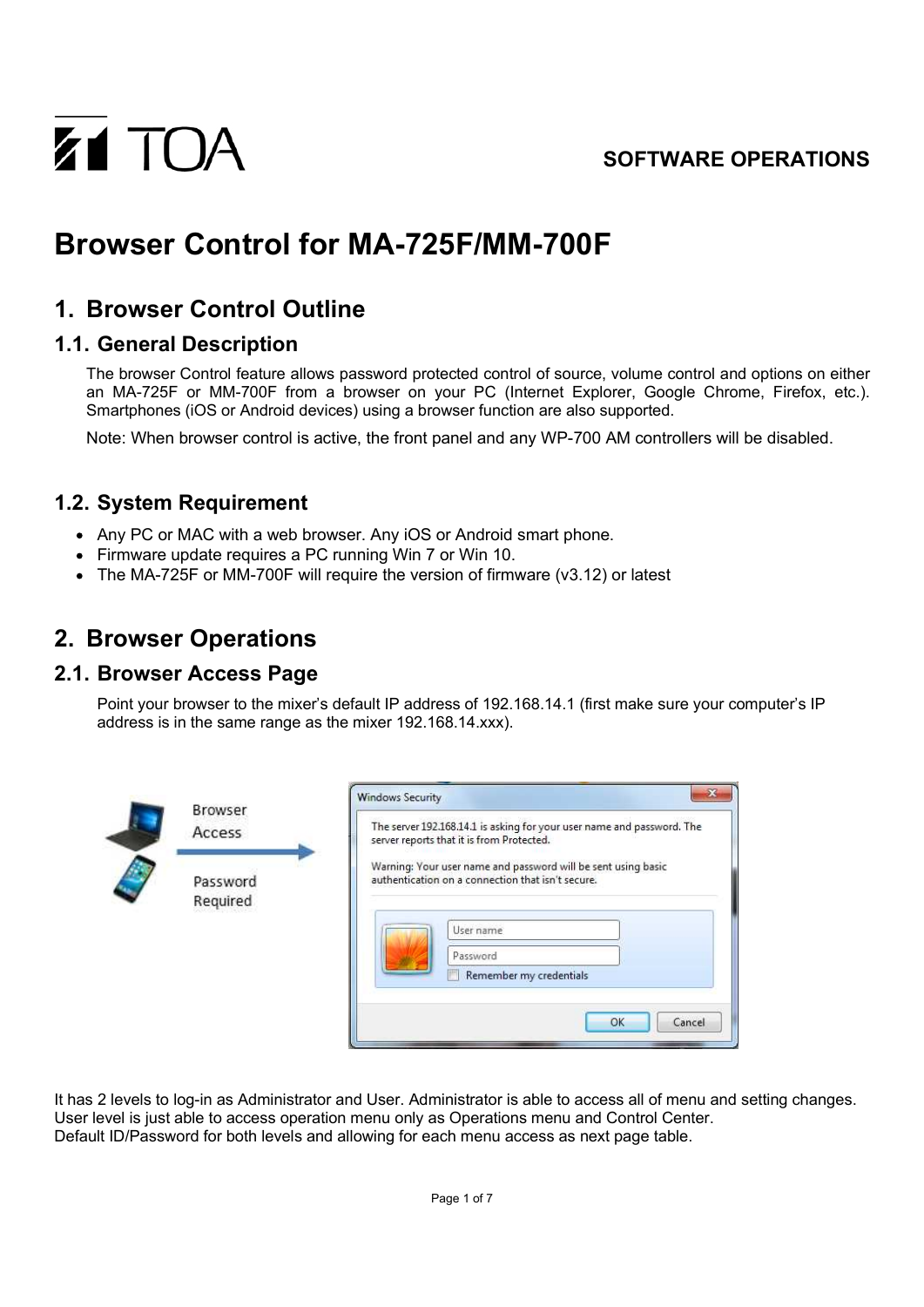### **SOFTWARE OPERATIONS**



# **Browser Control for MA-725F/MM-700F**

## **1. Browser Control Outline**

### **1.1. General Description**

The browser Control feature allows password protected control of source, volume control and options on either an MA-725F or MM-700F from a browser on your PC (Internet Explorer, Google Chrome, Firefox, etc.). Smartphones (iOS or Android devices) using a browser function are also supported.

Note: When browser control is active, the front panel and any WP-700 AM controllers will be disabled.

### **1.2. System Requirement**

- Any PC or MAC with a web browser. Any iOS or Android smart phone.
- Firmware update requires a PC running Win 7 or Win 10.
- $\bullet$  The MA-725F or MM-700F will require the version of firmware (v3.12) or latest

## **2. Browser Operations**

#### **2.1. Browser Access Page**

Point your browser to the mixer's default IP address of 192.168.14.1 (first make sure your computer's IP address is in the same range as the mixer 192.168.14.xxx).

| Access               | The server 192.168.14.1 is asking for your user name and password. The<br>server reports that it is from Protected. |
|----------------------|---------------------------------------------------------------------------------------------------------------------|
| Password<br>Required | Warning: Your user name and password will be sent using basic<br>authentication on a connection that isn't secure.  |
|                      | User name<br>Password<br>Remember my credentials                                                                    |

It has 2 levels to log-in as Administrator and User. Administrator is able to access all of menu and setting changes. User level is just able to access operation menu only as Operations menu and Control Center. Default ID/Password for both levels and allowing for each menu access as next page table.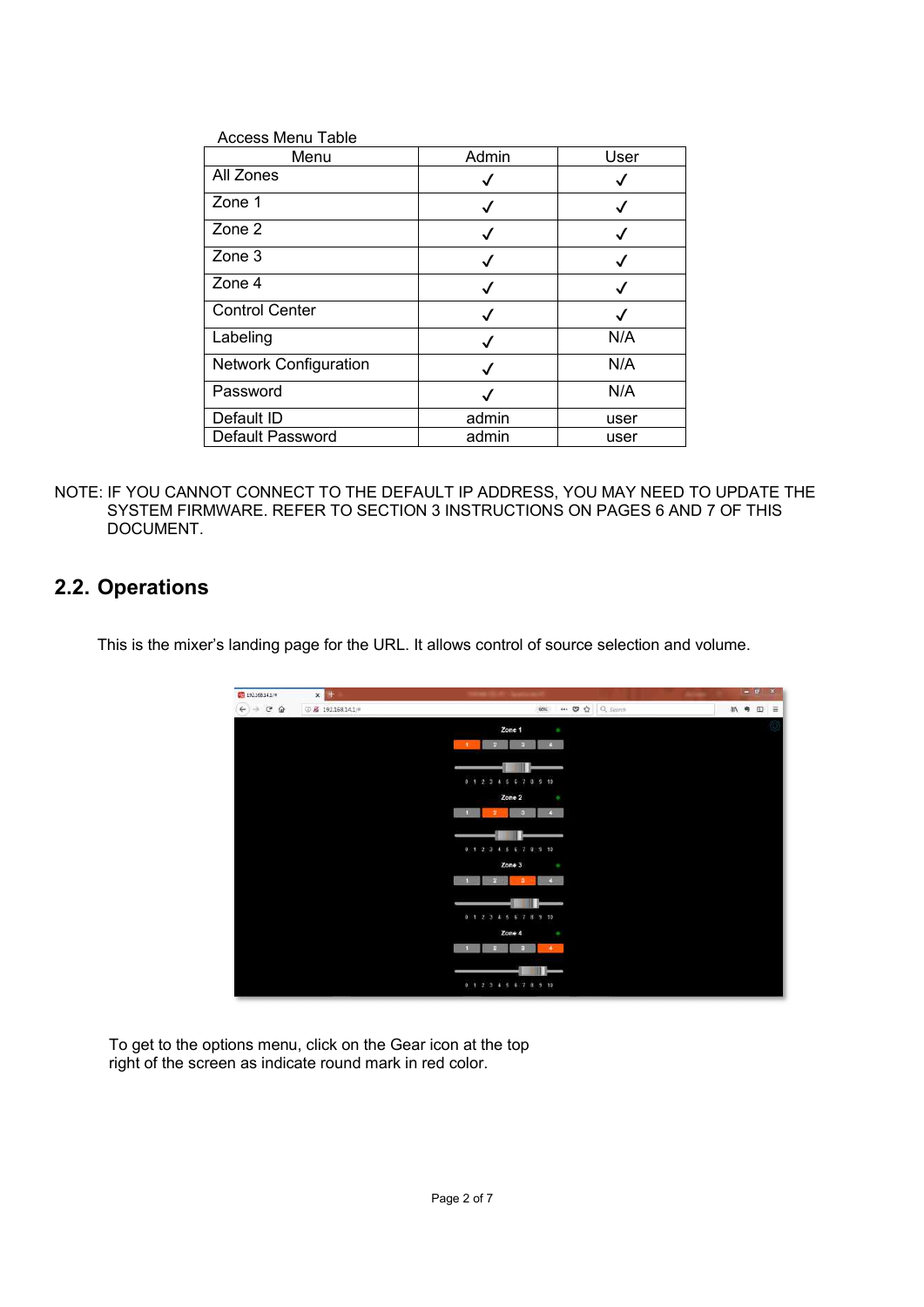| <b>Access Menu Table</b>     |       |      |
|------------------------------|-------|------|
| Menu                         | Admin | User |
| All Zones                    | √     | ✓    |
| Zone 1                       | ✓     | ✓    |
| Zone 2                       | ✓     | √    |
| Zone 3                       |       | ✓    |
| Zone 4                       |       | ✓    |
| <b>Control Center</b>        | ✓     | ✓    |
| Labeling                     | ✓     | N/A  |
| <b>Network Configuration</b> |       | N/A  |
| Password                     |       | N/A  |
| Default ID                   | admin | user |
| <b>Default Password</b>      | admin | user |

NOTE: IF YOU CANNOT CONNECT TO THE DEFAULT IP ADDRESS, YOU MAY NEED TO UPDATE THE SYSTEM FIRMWARE. REFER TO SECTION 3 INSTRUCTIONS ON PAGES 6 AND 7 OF THIS DOCUMENT.

### **2.2. Operations**

This is the mixer's landing page for the URL. It allows control of source selection and volume.

| EQ 192.168.14.1/#                          | $x +$                         |                                            |                |     |                     |     |
|--------------------------------------------|-------------------------------|--------------------------------------------|----------------|-----|---------------------|-----|
| $\rightarrow$ $C$ $\Omega$<br>$\leftarrow$ | <b>© &amp; 192.168.14.1/#</b> | 90%                                        | … ◎ ☆ Q Search | MV. | $\Box$<br>$\bullet$ | ١Ē. |
|                                            |                               | Zone 1<br>o.                               |                |     |                     |     |
|                                            |                               | $-1$<br>$4-1$<br>Fа                        |                |     |                     |     |
|                                            |                               |                                            |                |     |                     |     |
|                                            |                               | 0 1 2 3 4 5 6 7 8 9 10                     |                |     |                     |     |
|                                            |                               | Zone 2<br>o                                |                |     |                     |     |
|                                            |                               | $\overline{1}$<br>v.                       |                |     |                     |     |
|                                            |                               |                                            |                |     |                     |     |
|                                            |                               | 0 1 2 3 4 5 6 7 8 9 10                     |                |     |                     |     |
|                                            |                               | Zone 3<br>÷                                |                |     |                     |     |
|                                            |                               | $\overline{4}$<br>$\mathbf{1}$<br>ИΕ<br>×. |                |     |                     |     |
|                                            |                               |                                            |                |     |                     |     |
|                                            |                               | 0 1 2 3 4 5 6 7 8 9 10                     |                |     |                     |     |
|                                            |                               | Zone 4<br>o.<br>×                          |                |     |                     |     |
|                                            |                               |                                            |                |     |                     |     |
|                                            |                               |                                            |                |     |                     |     |
|                                            |                               | 0 1 2 3 4 5 6 7 8 9 10                     |                |     |                     |     |

To get to the options menu, click on the Gear icon at the top right of the screen as indicate round mark in red color.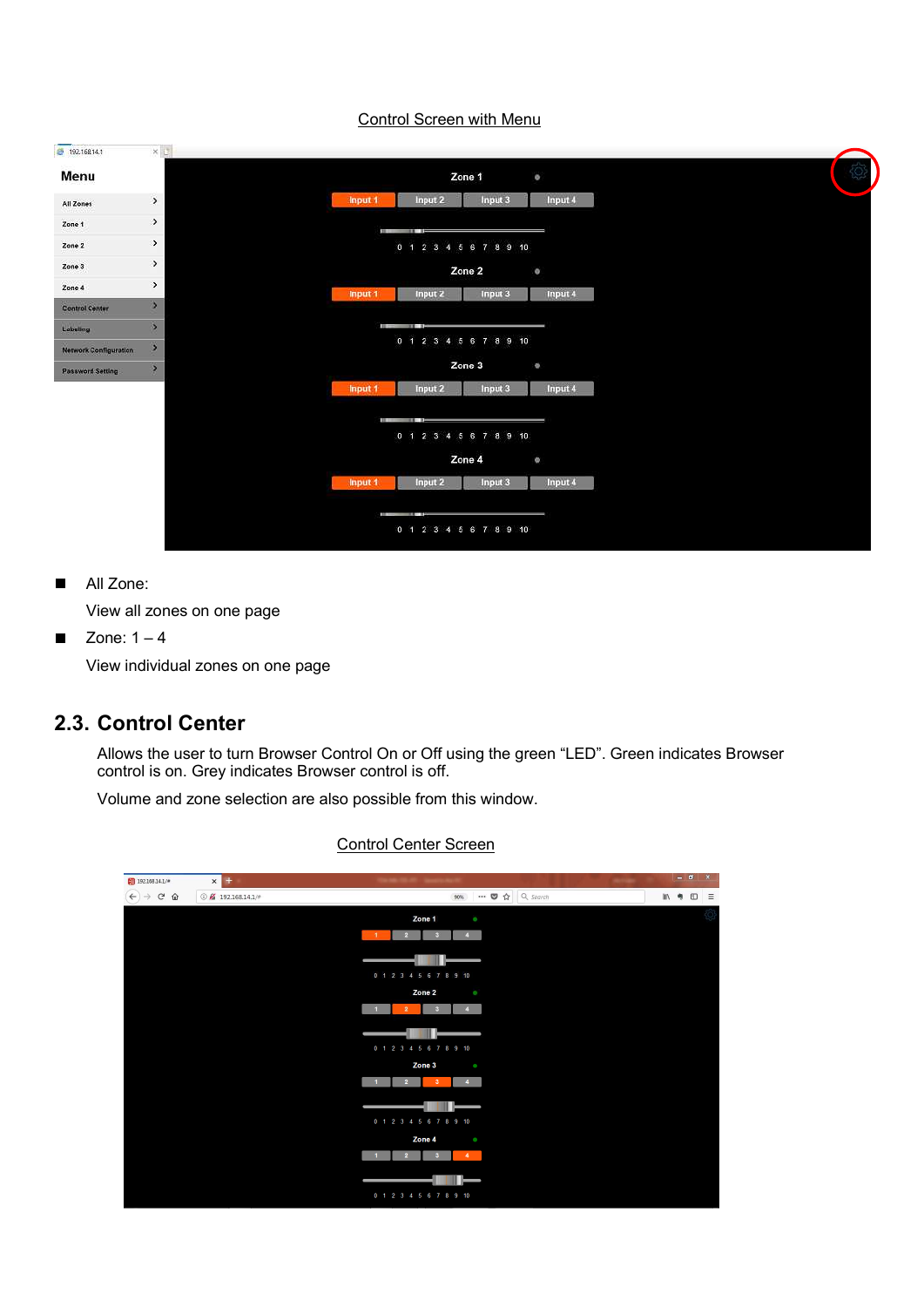#### Control Screen with Menu



All Zone:  $\blacksquare$ 

View all zones on one page

Zone:  $1 - 4$ П

View individual zones on one page

### **2.3. Control Center**

Allows the user to turn Browser Control On or Off using the green "LED". Green indicates Browser control is on. Grey indicates Browser control is off.

Volume and zone selection are also possible from this window.

| $92.168.14.1/\pi$                              | $x +$                           |                                                               | $ \overline{0}$ | $\mathbf{x}$ |
|------------------------------------------------|---------------------------------|---------------------------------------------------------------|-----------------|--------------|
| $\rightarrow$ C $\hat{\omega}$<br>$\leftarrow$ | $O$ $\cancel{2}$ 192.168.14.1/# | → ■☆ Q Search<br>90%                                          | Ⅲ 号 □           | $\equiv$     |
|                                                |                                 | Zone 1<br>$\bullet$                                           |                 |              |
|                                                |                                 | $-1$<br>$\overline{2}$<br>$\overline{3}$<br>$\overline{4}$    |                 |              |
|                                                |                                 |                                                               |                 |              |
|                                                |                                 | 0 1 2 3 4 5 6 7 8 9 10                                        |                 |              |
|                                                |                                 | Zone 2<br>$\circ$                                             |                 |              |
|                                                |                                 | $\mathbf{1}$<br>$\overline{2}$<br>в<br>$\overline{4}$         |                 |              |
|                                                |                                 |                                                               |                 |              |
|                                                |                                 | 0 1 2 3 4 5 6 7 8 9 10                                        |                 |              |
|                                                |                                 | Zone 3<br>$\bullet$                                           |                 |              |
|                                                |                                 | $\overline{2}$<br>1<br>3 <sup>°</sup><br>$4 -$                |                 |              |
|                                                |                                 |                                                               |                 |              |
|                                                |                                 | 0 1 2 3 4 5 6 7 8 9 10                                        |                 |              |
|                                                |                                 | Zone 4<br>$\bullet$                                           |                 |              |
|                                                |                                 | $\overline{2}$<br>$\blacktriangleleft$<br>$\blacksquare$<br>з |                 |              |
|                                                |                                 |                                                               |                 |              |
|                                                |                                 | 0 1 2 3 4 5 6 7 8 9 10                                        |                 |              |

#### Control Center Screen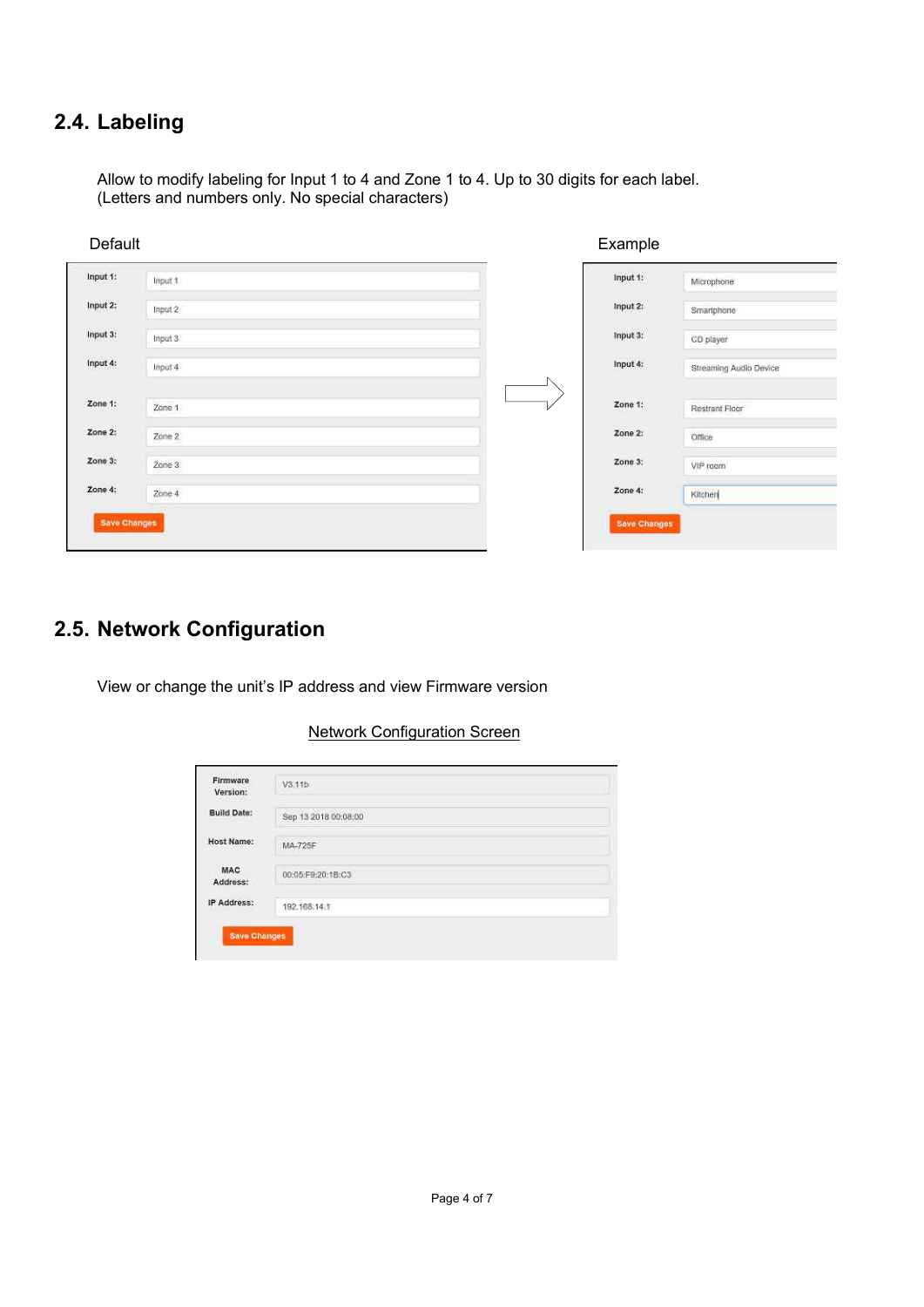## **2.4. Labeling**

Allow to modify labeling for Input 1 to 4 and Zone 1 to 4. Up to 30 digits for each label. (Letters and numbers only. No special characters)

| Input 1<br>Input 2 | Input 1:<br>$input2$ :                                     | Microphone             |
|--------------------|------------------------------------------------------------|------------------------|
|                    |                                                            |                        |
|                    |                                                            | Smartphone             |
|                    | $input3$ :                                                 | CD player              |
|                    | Input 4:                                                   | Streaming Audio Device |
|                    | Zone 1:                                                    | Restrant Floor         |
|                    | Zone 2:                                                    | Office                 |
|                    | Zone 3:                                                    | VIP room               |
|                    | Zone 4:                                                    | Kitchen                |
|                    | Input 3<br>Input 4<br>Zone 1<br>Zone 2<br>Zone 3<br>Zone 4 |                        |

## **2.5. Network Configuration**

View or change the unit's IP address and view Firmware version

#### Network Configuration Screen

| Firmware<br>Version:<br>and a plate to be a   | V3.11b                                              |
|-----------------------------------------------|-----------------------------------------------------|
| <b>Build Date:</b>                            | Sep 13 2018 00:08:00                                |
| <b>Host Name:</b>                             | <b>CONTRACTOR</b><br>MA-725F                        |
| <b>MAC</b><br>Address:                        | <b>WELFARE SERVICE CONTROL</b><br>00:05:F9:20:1B:C3 |
| IP Address:<br>The Secretary of the Secretary | 192.168.14.1                                        |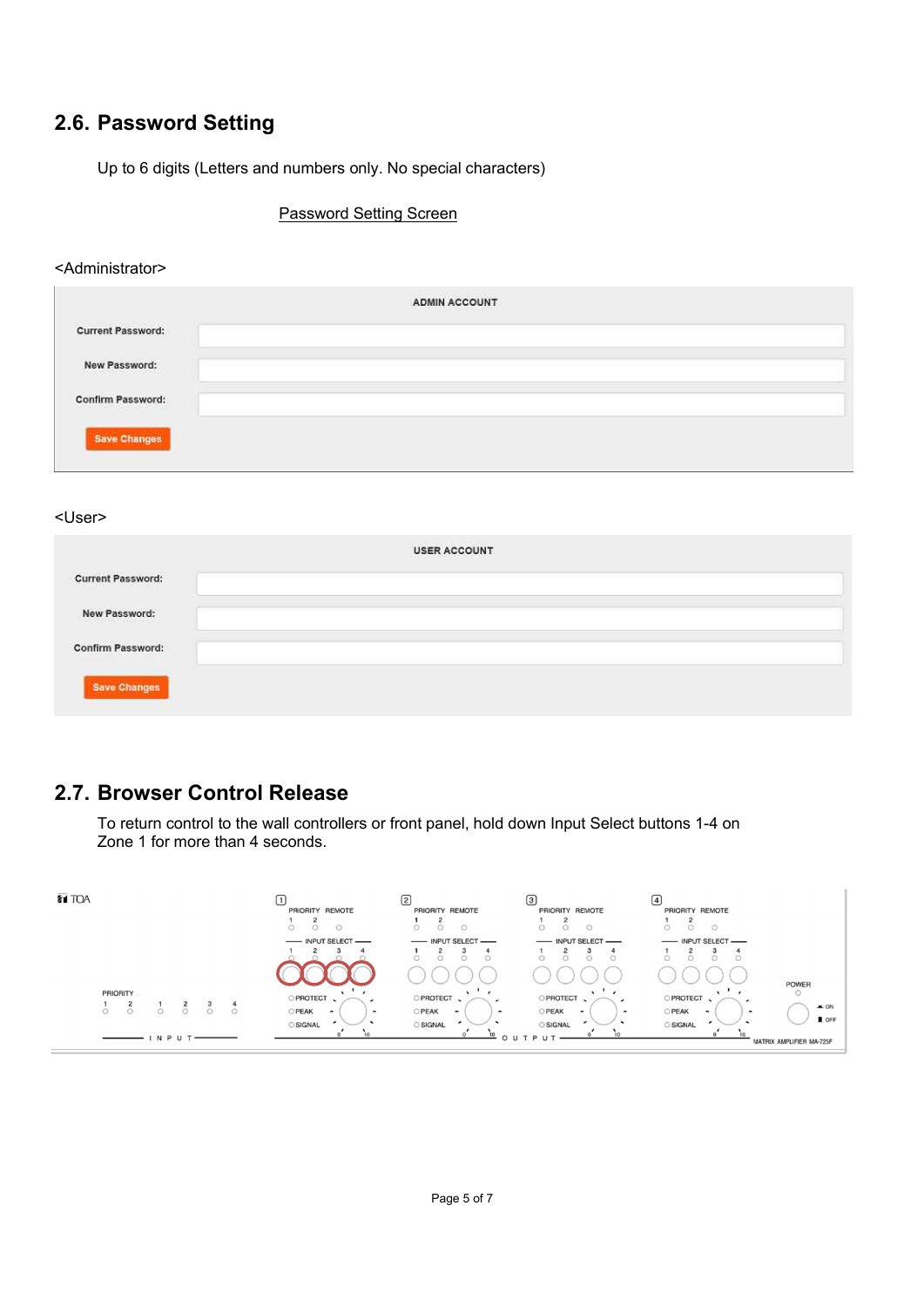## **2.6. Password Setting**

Up to 6 digits (Letters and numbers only. No special characters)

Password Setting Screen

#### <Administrator>

|                          | <b>ADMIN ACCOUNT</b> |
|--------------------------|----------------------|
| <b>Current Password:</b> |                      |
| New Password:            |                      |
| <b>Confirm Password:</b> |                      |
| <b>Save Changes</b>      |                      |

<User>

|                                                          | USER ACCOUNT |
|----------------------------------------------------------|--------------|
| <b>Current Password:</b>                                 |              |
| New Password:<br>state and control of the control of the |              |
| <b>Confirm Password:</b>                                 |              |
| Save Changes                                             |              |

### **2.7. Browser Control Release**

To return control to the wall controllers or front panel, hold down Input Select buttons 1-4 on Zone 1 for more than 4 seconds.

| <b>ZT TOA</b>      | PRIORITY REMOTE                                               | മ<br>PRIORITY REMOTE              | $\left(3\right)$<br>PRIORITY REMOTE                                  | 14<br>PRIORITY REMOTE             |                          |
|--------------------|---------------------------------------------------------------|-----------------------------------|----------------------------------------------------------------------|-----------------------------------|--------------------------|
|                    | - INPUT SELECT                                                | - INPUT SELECT -                  | - INPUT SELECT -                                                     | - INPUT SELECT                    |                          |
|                    |                                                               | r                                 | $\sqrt{2}$                                                           |                                   |                          |
|                    |                                                               |                                   |                                                                      |                                   | POWER                    |
| <b>PRIORITY</b>    | O PROTECT                                                     | <b>PROTECT</b>                    | PROTECT                                                              | <b>PROTECT</b>                    |                          |
| $\circ$<br>$\circ$ | OPEAK<br>$\overline{\phantom{0}}$<br>$\overline{\phantom{a}}$ | OPEAK<br>$\overline{\phantom{0}}$ | <b>OPEAK</b><br>$\overline{\phantom{a}}$<br>$\overline{\phantom{a}}$ | OPEAK<br>$\overline{\phantom{0}}$ | $-$ ON                   |
|                    | <b>SIGNAL</b>                                                 | <b>SIGNAL</b>                     | SIGNAL                                                               | <b>SIGNAL</b>                     | $I$ OFF                  |
| I N P U T          |                                                               |                                   |                                                                      |                                   | MATRIX AMPLIFIER MA-725F |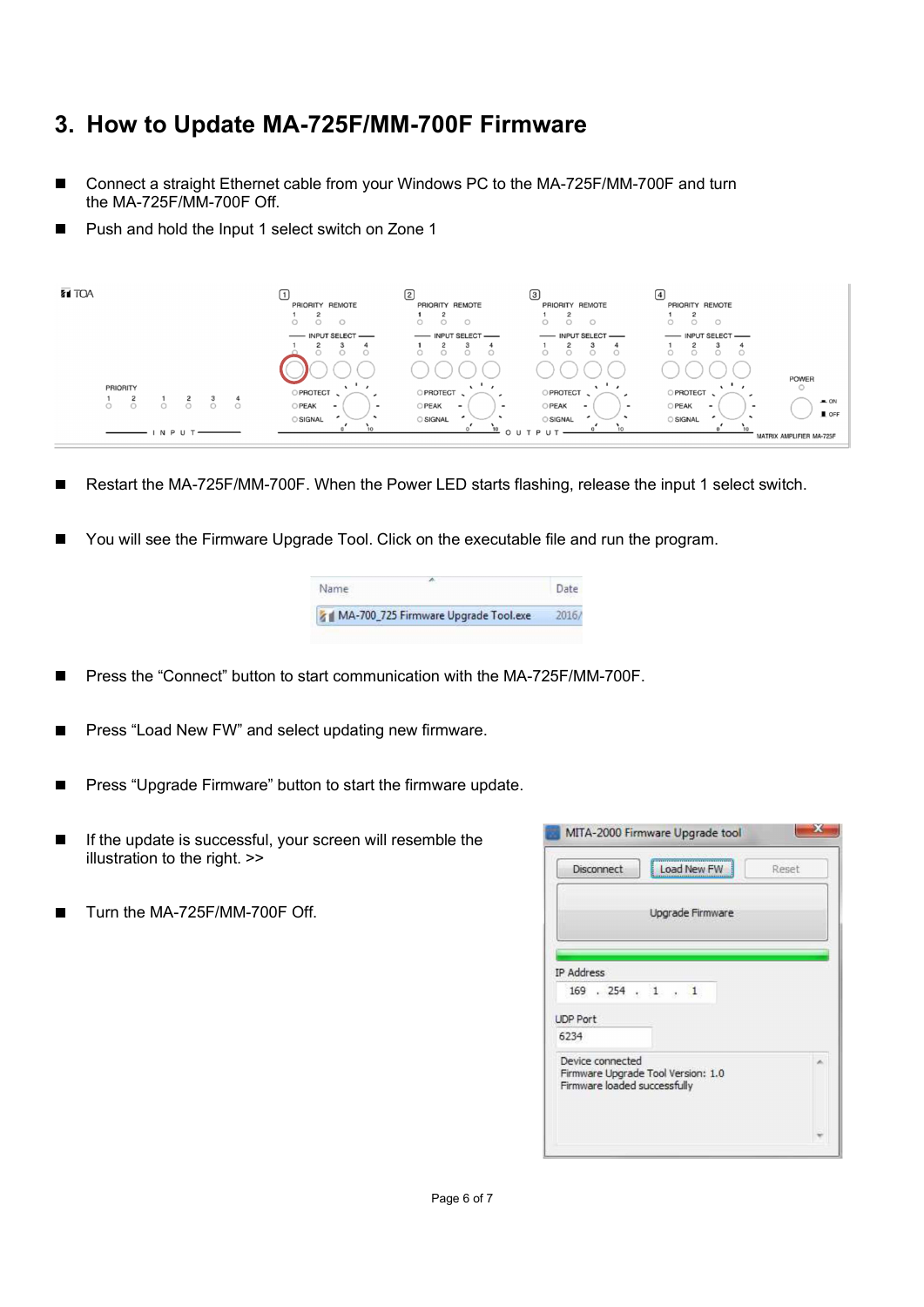## **3. How to Update MA-725F/MM-700F Firmware**

- Connect a straight Ethernet cable from your Windows PC to the MA-725F/MM-700F and turn the MA-725F/MM-700F Off.
- Push and hold the Input 1 select switch on Zone 1



- Restart the MA-725F/MM-700F. When the Power LED starts flashing, release the input 1 select switch.
- You will see the Firmware Upgrade Tool. Click on the executable file and run the program.

| Name                                 |  |
|--------------------------------------|--|
| MA-700_725 Firmware Upgrade Tool.exe |  |

- Press the "Connect" button to start communication with the MA-725F/MM-700F.
- Press "Load New FW" and select updating new firmware.
- Press "Upgrade Firmware" button to start the firmware update. П
- If the update is successful, your screen will resemble the illustration to the right. >>
- Turn the MA-725F/MM-700F Off.

| Disconnect                                       | Load New FW                        | Reset |
|--------------------------------------------------|------------------------------------|-------|
|                                                  | Upgrade Firmware                   |       |
| IP Address<br>$169$ . $254$ . 1 . 1              |                                    |       |
|                                                  |                                    |       |
|                                                  |                                    |       |
| <b>UDP Port</b><br>6234                          |                                    |       |
| Device connected<br>Firmware loaded successfully | Firmware Upgrade Tool Version: 1.0 |       |